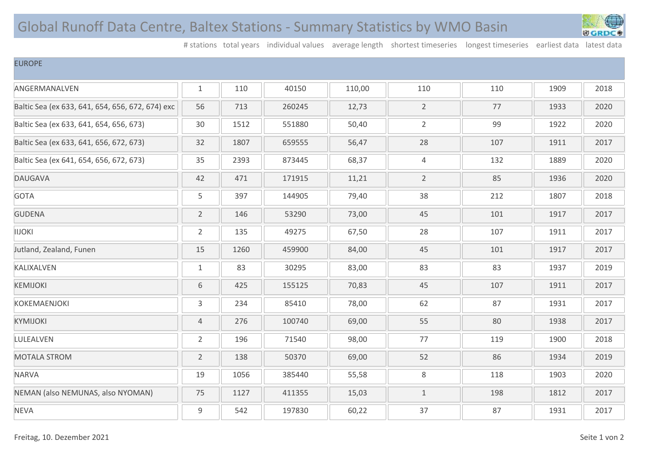## Global Runoff Data Centre, Baltex Stations - Summary Statistics by WMO Basin



# stations total years individual values average length shortest timeseries longest timeseries earliest data latest data

## EUROPE

| ANGERMANALVEN                                    | $\mathbf{1}$   | 110  | 40150  | 110,00 | 110            | 110 | 1909 | 2018 |
|--------------------------------------------------|----------------|------|--------|--------|----------------|-----|------|------|
| Baltic Sea (ex 633, 641, 654, 656, 672, 674) exc | 56             | 713  | 260245 | 12,73  | $\overline{2}$ | 77  | 1933 | 2020 |
| Baltic Sea (ex 633, 641, 654, 656, 673)          | 30             | 1512 | 551880 | 50,40  | $\overline{2}$ | 99  | 1922 | 2020 |
| Baltic Sea (ex 633, 641, 656, 672, 673)          | 32             | 1807 | 659555 | 56,47  | 28             | 107 | 1911 | 2017 |
| Baltic Sea (ex 641, 654, 656, 672, 673)          | 35             | 2393 | 873445 | 68,37  | $\sqrt{4}$     | 132 | 1889 | 2020 |
| <b>DAUGAVA</b>                                   | 42             | 471  | 171915 | 11,21  | $\overline{2}$ | 85  | 1936 | 2020 |
| <b>GOTA</b>                                      | 5              | 397  | 144905 | 79,40  | 38             | 212 | 1807 | 2018 |
| <b>GUDENA</b>                                    | $\overline{2}$ | 146  | 53290  | 73,00  | 45             | 101 | 1917 | 2017 |
| <b>IIJOKI</b>                                    | $\overline{2}$ | 135  | 49275  | 67,50  | 28             | 107 | 1911 | 2017 |
| Jutland, Zealand, Funen                          | 15             | 1260 | 459900 | 84,00  | 45             | 101 | 1917 | 2017 |
| KALIXALVEN                                       | $\mathbf{1}$   | 83   | 30295  | 83,00  | 83             | 83  | 1937 | 2019 |
| <b>KEMIJOKI</b>                                  | $6\,$          | 425  | 155125 | 70,83  | 45             | 107 | 1911 | 2017 |
| <b>KOKEMAENJOKI</b>                              | 3              | 234  | 85410  | 78,00  | 62             | 87  | 1931 | 2017 |
| <b>KYMIJOKI</b>                                  | 4              | 276  | 100740 | 69,00  | 55             | 80  | 1938 | 2017 |
| LULEALVEN                                        | $\overline{2}$ | 196  | 71540  | 98,00  | 77             | 119 | 1900 | 2018 |
| <b>MOTALA STROM</b>                              | $\overline{2}$ | 138  | 50370  | 69,00  | 52             | 86  | 1934 | 2019 |
| <b>NARVA</b>                                     | 19             | 1056 | 385440 | 55,58  | 8              | 118 | 1903 | 2020 |
| NEMAN (also NEMUNAS, also NYOMAN)                | 75             | 1127 | 411355 | 15,03  | $\mathbf{1}$   | 198 | 1812 | 2017 |
| <b>NEVA</b>                                      | 9              | 542  | 197830 | 60,22  | 37             | 87  | 1931 | 2017 |